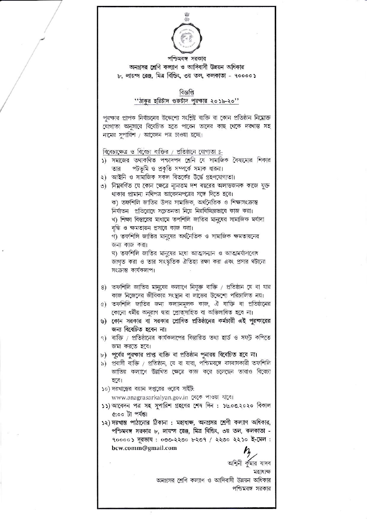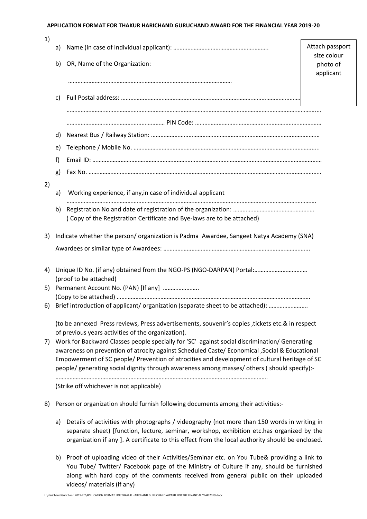## **APPLICATION FORMAT FOR THAKUR HARICHAND GURUCHAND AWARD FOR THE FINANCIAL YEAR 2019-20**

| 1)                                                                         |                                                                                                                                                                                              |                                                                                        |                                |  |
|----------------------------------------------------------------------------|----------------------------------------------------------------------------------------------------------------------------------------------------------------------------------------------|----------------------------------------------------------------------------------------|--------------------------------|--|
|                                                                            | a)                                                                                                                                                                                           |                                                                                        | Attach passport<br>size colour |  |
|                                                                            | b)                                                                                                                                                                                           | OR, Name of the Organization:                                                          | photo of                       |  |
|                                                                            |                                                                                                                                                                                              |                                                                                        | applicant                      |  |
|                                                                            |                                                                                                                                                                                              |                                                                                        |                                |  |
|                                                                            | C)                                                                                                                                                                                           |                                                                                        |                                |  |
|                                                                            |                                                                                                                                                                                              |                                                                                        |                                |  |
|                                                                            |                                                                                                                                                                                              |                                                                                        |                                |  |
|                                                                            | d)                                                                                                                                                                                           |                                                                                        |                                |  |
|                                                                            | e)                                                                                                                                                                                           |                                                                                        |                                |  |
|                                                                            | f)                                                                                                                                                                                           |                                                                                        |                                |  |
|                                                                            | g)                                                                                                                                                                                           |                                                                                        |                                |  |
| 2)                                                                         | a)                                                                                                                                                                                           | Working experience, if any, in case of individual applicant                            |                                |  |
|                                                                            |                                                                                                                                                                                              |                                                                                        |                                |  |
|                                                                            | b)                                                                                                                                                                                           | (Copy of the Registration Certificate and Bye-laws are to be attached)                 |                                |  |
|                                                                            |                                                                                                                                                                                              |                                                                                        |                                |  |
| 3)                                                                         |                                                                                                                                                                                              | Indicate whether the person/organization is Padma Awardee, Sangeet Natya Academy (SNA) |                                |  |
|                                                                            |                                                                                                                                                                                              |                                                                                        |                                |  |
| Unique ID No. (if any) obtained from the NGO-PS (NGO-DARPAN) Portal:<br>4) |                                                                                                                                                                                              |                                                                                        |                                |  |
|                                                                            | (proof to be attached)                                                                                                                                                                       |                                                                                        |                                |  |
| 5)                                                                         | Permanent Account No. (PAN) [If any]                                                                                                                                                         |                                                                                        |                                |  |
| 6)                                                                         |                                                                                                                                                                                              | Brief introduction of applicant/ organization (separate sheet to be attached):         |                                |  |
|                                                                            |                                                                                                                                                                                              |                                                                                        |                                |  |
|                                                                            | (to be annexed Press reviews, Press advertisements, souvenir's copies, tickets etc.& in respect                                                                                              |                                                                                        |                                |  |
| 7)                                                                         | of previous years activities of the organization).<br>Work for Backward Classes people specially for 'SC' against social discrimination/ Generating                                          |                                                                                        |                                |  |
|                                                                            | awareness on prevention of atrocity against Scheduled Caste/ Economical , Social & Educational                                                                                               |                                                                                        |                                |  |
|                                                                            | Empowerment of SC people/ Prevention of atrocities and development of cultural heritage of SC<br>people/ generating social dignity through awareness among masses/ others (should specify):- |                                                                                        |                                |  |
|                                                                            |                                                                                                                                                                                              |                                                                                        |                                |  |
|                                                                            |                                                                                                                                                                                              | (Strike off whichever is not applicable)                                               |                                |  |
| 8)                                                                         |                                                                                                                                                                                              | Person or organization should furnish following documents among their activities:-     |                                |  |

- a) Details of activities with photographs / videography (not more than 150 words in writing in separate sheet) [function, lecture, seminar, workshop, exhibition etc.has organized by the organization if any ]. A certificate to this effect from the local authority should be enclosed.
- b) Proof of uploading video of their Activities/Seminar etc. on You Tube& providing a link to You Tube/ Twitter/ Facebook page of the Ministry of Culture if any, should be furnished along with hard copy of the comments received from general public on their uploaded videos/ materials (if any)

L:\Harichand Gurichand 2019-20\APPLICATION FORMAT FOR THAKUR HARICHAND GURUCHAND AWARD FOR THE FINANCIAL YEAR 2019.docx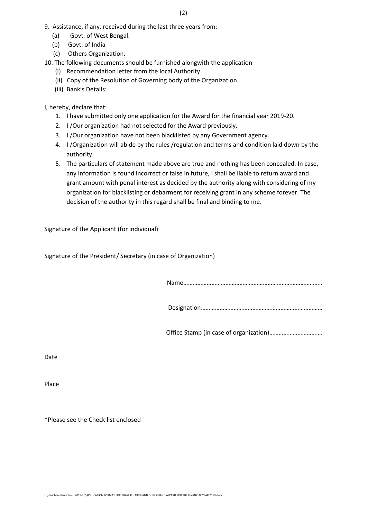- 9. Assistance, if any, received during the last three years from:
	- (a) Govt. of West Bengal.
	- (b) Govt. of India
	- (c) Others Organization.

10. The following documents should be furnished alongwith the application

- (i) Recommendation letter from the local Authority.
- (ii) Copy of the Resolution of Governing body of the Organization.
- (iii) Bank's Details:

I, hereby, declare that:

- 1. I have submitted only one application for the Award for the financial year 2019-20.
- 2. I /Our organization had not selected for the Award previously.
- 3. I /Our organization have not been blacklisted by any Government agency.
- 4. I /Organization will abide by the rules /regulation and terms and condition laid down by the authority.
- 5. The particulars of statement made above are true and nothing has been concealed. In case, any information is found incorrect or false in future, I shall be liable to return award and grant amount with penal interest as decided by the authority along with considering of my organization for blacklisting or debarment for receiving grant in any scheme forever. The decision of the authority in this regard shall be final and binding to me.

Signature of the Applicant (for individual)

Signature of the President/ Secretary (in case of Organization)

Name……………………………………………………………………………..

Designation……………………………………………………………………

Office Stamp (in case of organization)…………………………….

Date

Place

\*Please see the Check list enclosed